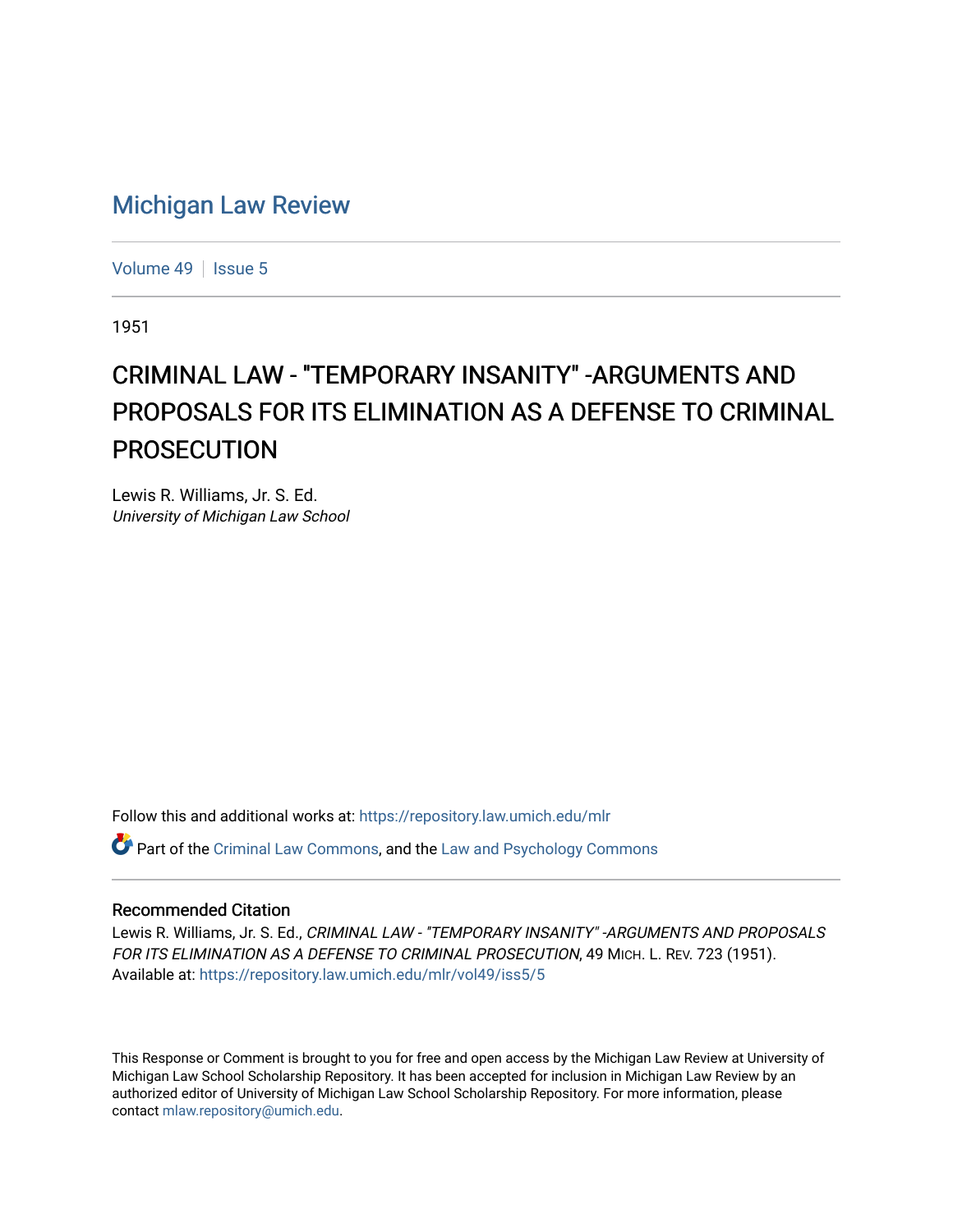# [Michigan Law Review](https://repository.law.umich.edu/mlr)

[Volume 49](https://repository.law.umich.edu/mlr/vol49) | [Issue 5](https://repository.law.umich.edu/mlr/vol49/iss5)

1951

# CRIMINAL LAW - "TEMPORARY INSANITY" -ARGUMENTS AND PROPOSALS FOR ITS ELIMINATION AS A DEFENSE TO CRIMINAL PROSECUTION

Lewis R. Williams, Jr. S. Ed. University of Michigan Law School

Follow this and additional works at: [https://repository.law.umich.edu/mlr](https://repository.law.umich.edu/mlr?utm_source=repository.law.umich.edu%2Fmlr%2Fvol49%2Fiss5%2F5&utm_medium=PDF&utm_campaign=PDFCoverPages) 

 $\bullet$  Part of the [Criminal Law Commons,](http://network.bepress.com/hgg/discipline/912?utm_source=repository.law.umich.edu%2Fmlr%2Fvol49%2Fiss5%2F5&utm_medium=PDF&utm_campaign=PDFCoverPages) and the [Law and Psychology Commons](http://network.bepress.com/hgg/discipline/870?utm_source=repository.law.umich.edu%2Fmlr%2Fvol49%2Fiss5%2F5&utm_medium=PDF&utm_campaign=PDFCoverPages)

# Recommended Citation

Lewis R. Williams, Jr. S. Ed., CRIMINAL LAW - "TEMPORARY INSANITY" - ARGUMENTS AND PROPOSALS FOR ITS ELIMINATION AS A DEFENSE TO CRIMINAL PROSECUTION, 49 MICH. L. REV. 723 (1951). Available at: [https://repository.law.umich.edu/mlr/vol49/iss5/5](https://repository.law.umich.edu/mlr/vol49/iss5/5?utm_source=repository.law.umich.edu%2Fmlr%2Fvol49%2Fiss5%2F5&utm_medium=PDF&utm_campaign=PDFCoverPages)

This Response or Comment is brought to you for free and open access by the Michigan Law Review at University of Michigan Law School Scholarship Repository. It has been accepted for inclusion in Michigan Law Review by an authorized editor of University of Michigan Law School Scholarship Repository. For more information, please contact [mlaw.repository@umich.edu](mailto:mlaw.repository@umich.edu).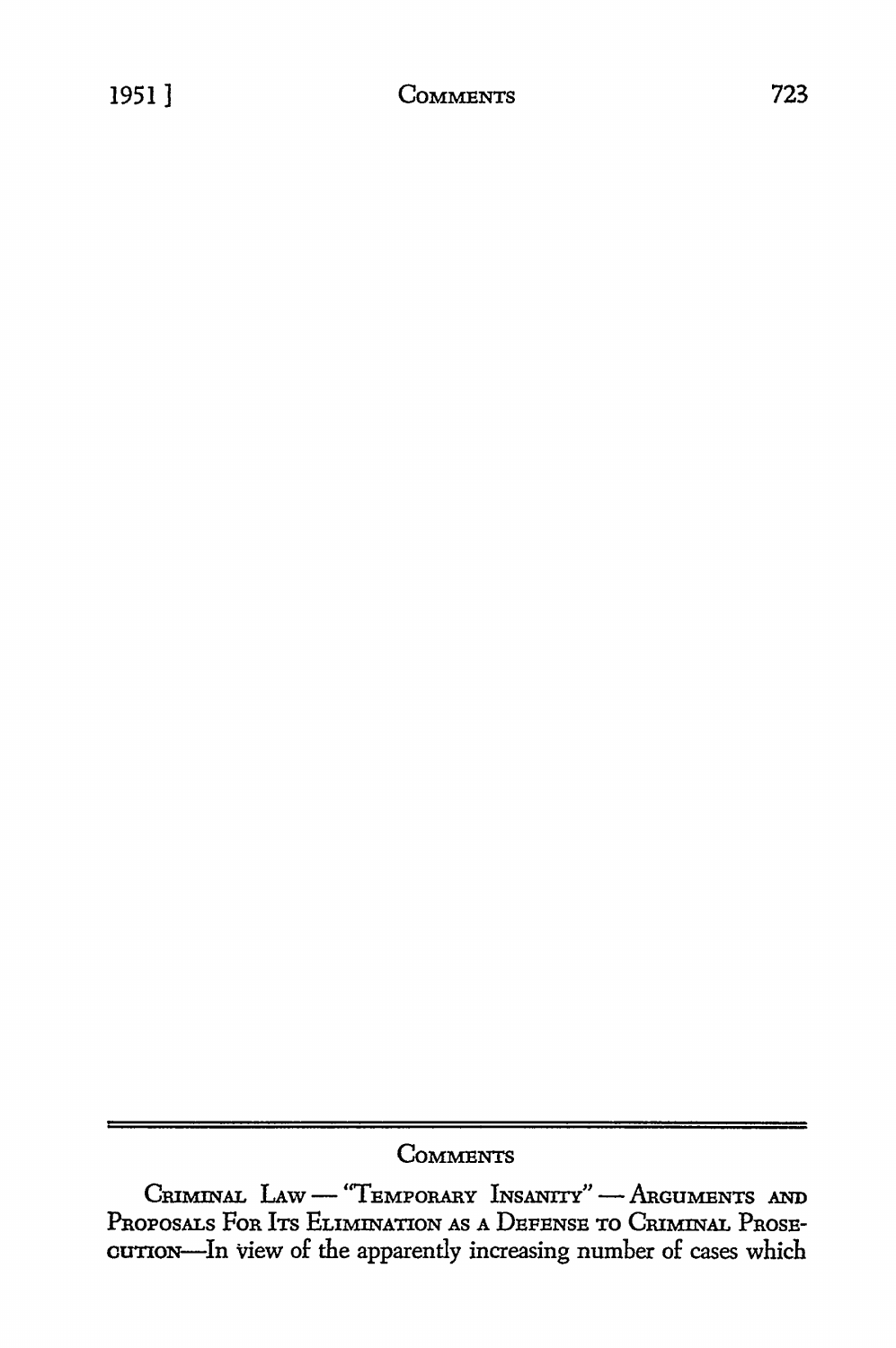# **COMMENTS**

CRIMINAL LAW - "TEMPORARY INSANITY" - ARGUMENTS AND PROPOSALS FOR ITS ELIMINATION AS A DEFENSE TO CRIMINAL PROSEcurron-In view of the apparently increasing number of cases which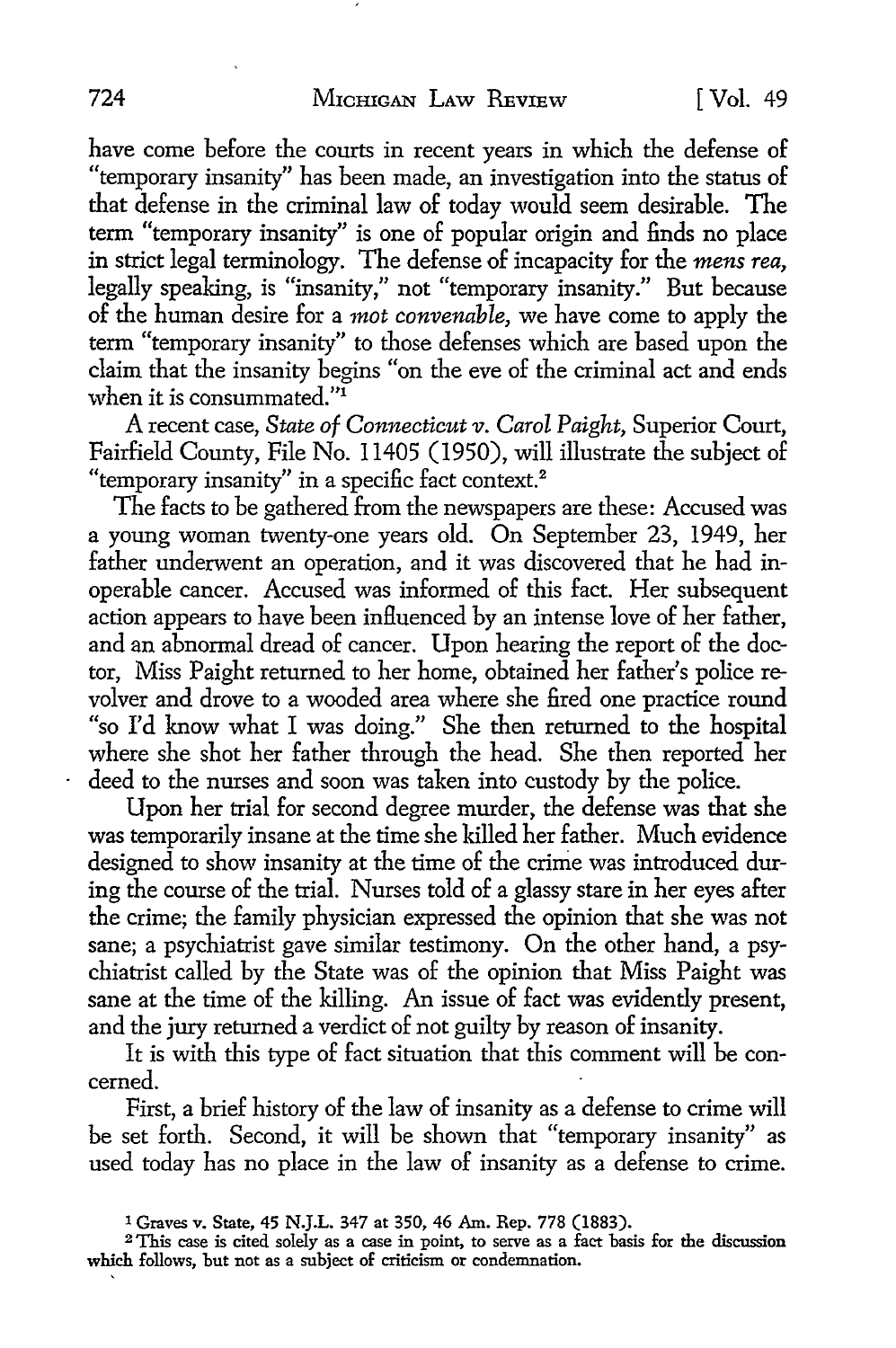have come before the courts in recent years in which the defense of "temporary insanity" has been made, an investigation into the status of that defense in the criminal law of today would seem desirable. The term "temporary insanity" is one of popular origin and finds no place in strict legal terminology. The defense of incapacity for the *mens rea,*  legally speaking, is "insanity," not "temporary insanity." But because of the human desire for a *mot convenable,* we have come to apply the term "temporary insanity" to those defenses which are based upon the claim that the insanity begins "on the eve of the criminal act and ends when it is consummated."<sup>1</sup>

A recent case, *State of Connecticut v. Carol Paight,* Superior Court, Fairfield County, File No. 11405 (1950), will illustrate the subject of "temporary insanity" in a specific fact context.<sup>2</sup>

The facts to be gathered from the newspapers are these: Accused was a young woman twenty-one years old. On September 23, 1949, her father underwent an operation, and it was discovered that he had inoperable cancer. Accused was informed of this fact. Her subsequent action appears to have been influenced by an intense love of her father, and an abnormal dread of cancer. Upon hearing the report of the doctor, Miss Paight returned to her home, obtained her father's police revolver and drove to a wooded area where she fired one practice round "so I'd know what I was doing." She then returned to the hospital where she shot her father through the head. She then reported her deed to the nurses and soon was taken into custody by the police.

Upon her trial for second degree murder, the defense was that she was temporarily insane at the time she killed her father. Much evidence designed to show insanity at the time of the crime was introduced during the course of the trial. Nurses told of a glassy stare in her eyes after the crime; the family physician expressed the opinion that she was not sane; a psychiatrist gave similar testimony. On the other hand, a psychiatrist called by the State was of the opinion that Miss Paight was sane at the time of the killing. An issue of fact was evidently present, and the jury returned a verdict of not guilty by reason of insanity.

It is with this type of fact situation that this comment will be concerned.

First, a brief history of the law of insanity as a defense to crime will be set forth. Second, it will be shown that "temporary insanity" as used today has no place in the law of insanity as a defense to crime.

<sup>1</sup> Graves v. State, 45 N.J.L. 347 at 350, 46 Am. Rep. 778 (1883).

<sup>2</sup>This case is cited solely as a case in point, to serve as a fact basis for the discussion which follows, but not as a subject of criticism or condemnation.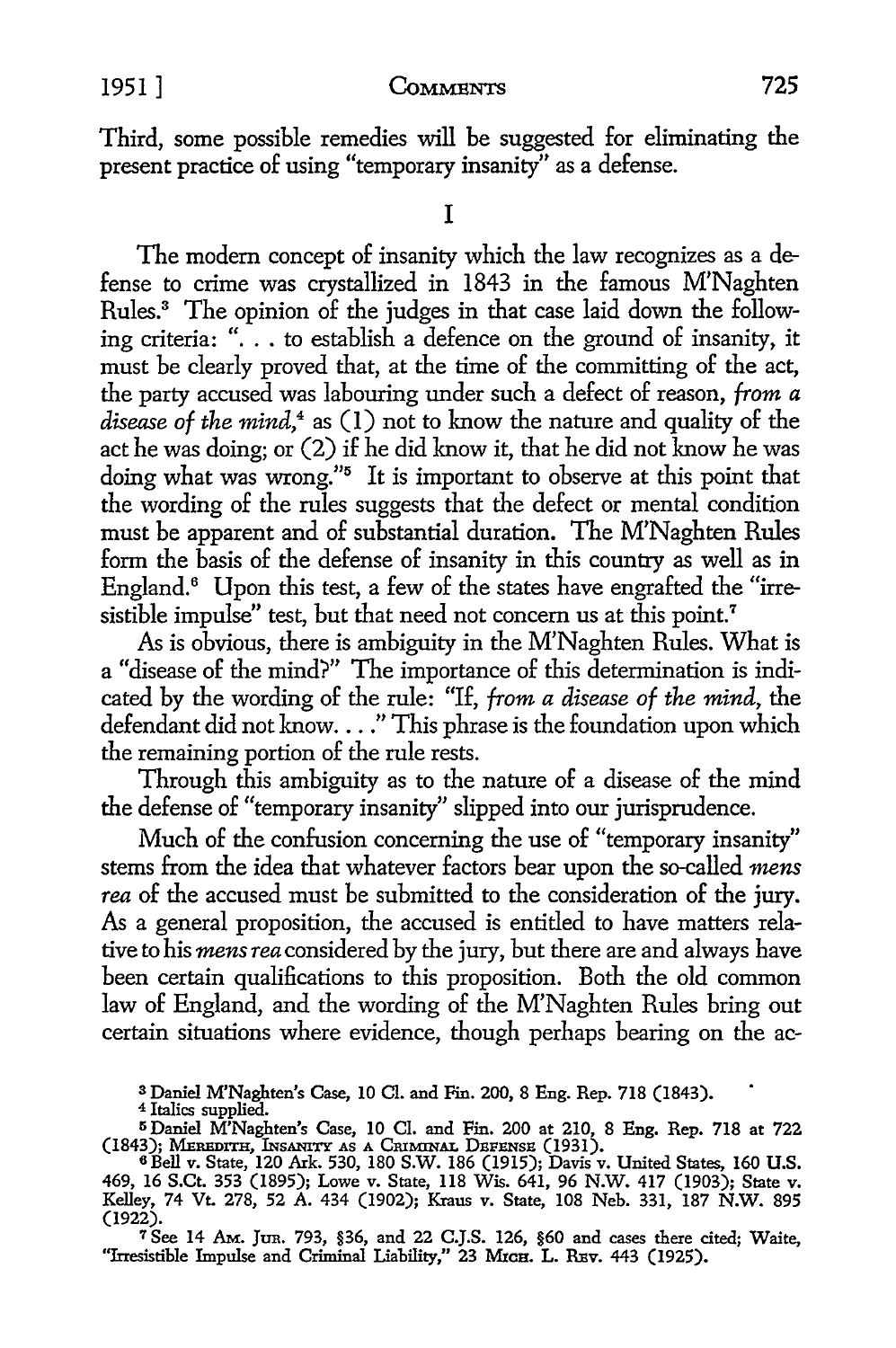Third, some possible remedies will be suggested for eliminating the present practice of using "temporary insanity" as a defense.

I

The modem concept of insanity which the law recognizes as a defense to crime was crystallized in 1843 in the famous M'Naghten Rules.<sup>3</sup> The opinion of the judges in that case laid down the following criteria: "... to establish a defence on the ground of insanity, it must be clearly proved that, at the time of the committing of the act, the party accused was labouring under such a defect of reason, *from a disease of the mind,4* as (I) not to know the nature and quality of the act he was doing; or (2) if he did know it, that he did not know he was doing what was wrong."5 It is important to observe at this point that the wording of the rules suggests that the defect or mental condition must be apparent and of substantial duration. The M'Naghten Rules form the basis of the defense of insanity in this country as well as in England.<sup>6</sup> Upon this test, a few of the states have engrafted the "irresistible impulse" test, but that need not concern us at this point.<sup>7</sup>

As is obvious, there is ambiguity in the M'Naghten Rules. What is a "disease of the mind?" The importance of this determination is indicated by the wording of the rule: "If, *from a disease of the mind,* the defendant did not know...." This phrase is the foundation upon which the remaining portion of the rule rests.

Through this ambiguity as to the nature of a disease of the mind the defense of "temporary insanity" slipped into our jurisprudence.

Much of the confusion concerning the use of "temporary insanity" stems from the idea that whatever factors bear upon the so-called *mens rea* of the accused must be submitted to the consideration of the jury. As a general proposition, the accused is entitled to have matters relative to his *mens rea* considered by the jury, but there are and always have been certain qualifications to this proposition. Both the old common law of England, and the wording of the M'Naghten Rules bring out certain situations where evidence, though perhaps bearing on the ac-

3 Daniel M'Naghten's Case, 10 Cl. and Fin. 200, 8 Eng. Rep. 718 (1843).

4 Italics supplied.

<sup>5</sup> Daniel M'Naghten's Case, 10 Cl. and Fin. 200 at 210, 8 Eng. Rep. 718 at 722 (1843); MEREDITH, INSANITY AS A CRIMINAL DEFENSE (1931).

7 See 14 AM. Jtm. 793, §36, and 22 C.J.S. 126, §60 and cases there cited; Waite, "Irresistible Impulse and Criminal Liability," 23 MICH. L. REV. 443 (1925).

<sup>6</sup>Bell v. State, 120 Ark. 530, 180 S.W. 186 (1915); Davis v. United States, 160 U.S. 469, 16 S.Ct. 353 (1895); Lowe v. State, 118 Wis. 641, 96 N.W. 417 (1903); State v. Kelley, 74 Vt. 278, 52 A. 434 (1902); Kraus v. State, 108 Neb. 331, 187 N.W. 895 (1922).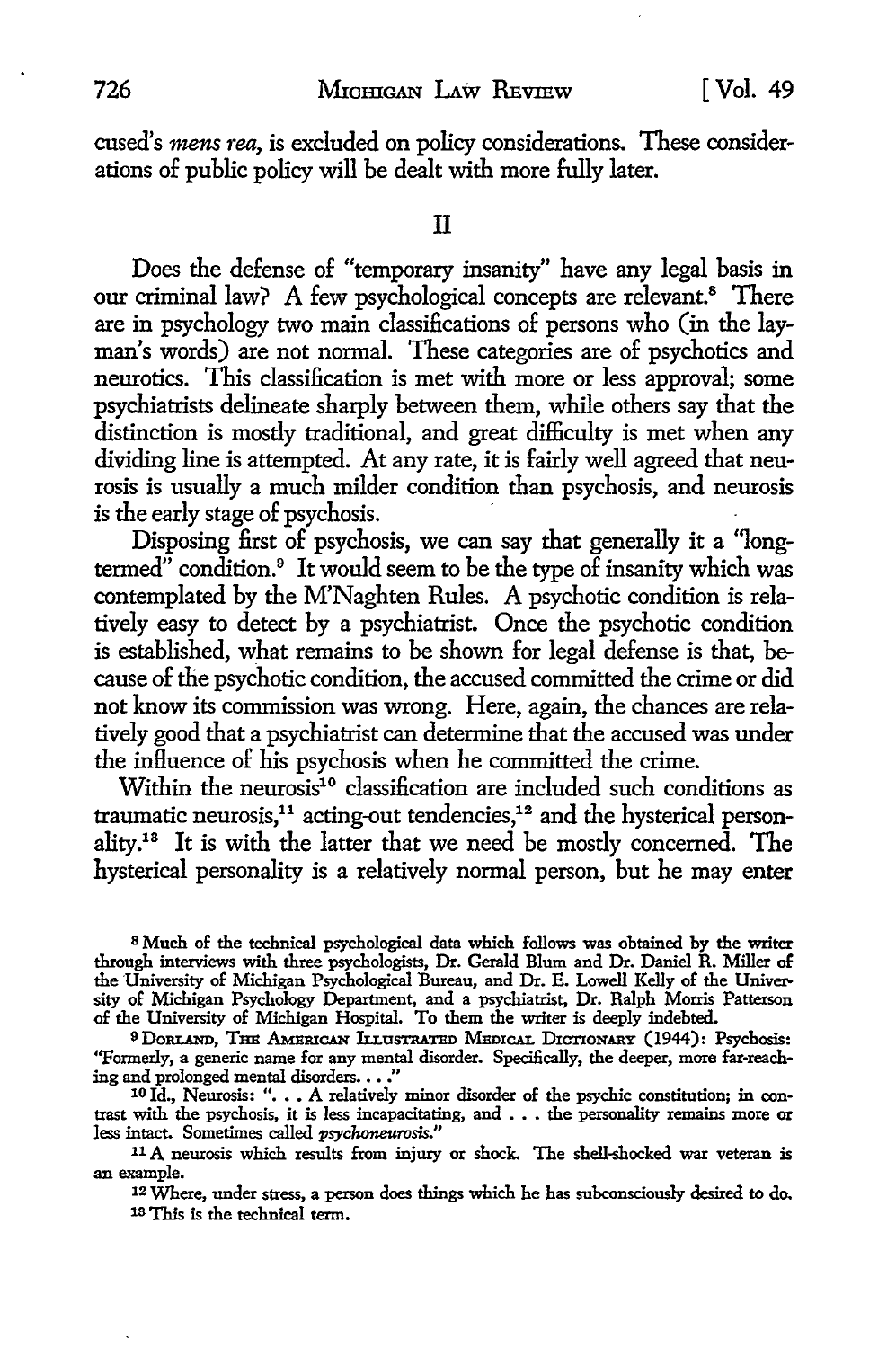cused's *mens rea,* is excluded on policy considerations. These considerations of public policy will be dealt with more fully later.

Does the defense of "temporary insanity" have any legal basis in our criminal law? A few psychological concepts are relevant.<sup>8</sup> There are in psychology two main classifications of persons who (in the layman's words) are not normal. These categories are of psychotics and neurotics. This classification is met with more or less approval; some psychiatrists delineate sharply between them, while others say that the distinction is mostly traditional, and great difficulty is met when any dividing line is attempted. At any rate, it is fairly well agreed that neurosis is usually a much milder condition than psychosis, and neurosis is the early stage of psychosis.

Disposing first of psychosis, we can say that generally it a "long- $\theta$ <sup>n</sup> condition.<sup>9</sup> It would seem to be the type of insanity which was contemplated by the M'Naghten Rules. A psychotic condition is relatively easy to detect by a psychiatrist. Once the psychotic condition is established, what remains to be shown for legal defense is that, because of the psychotic condition, the accused committed the crime or did not know its commission was wrong. Here, again, the chances are relatively good that a psychiatrist can determine that the accused was under the influence of his psychosis when he committed the crime.

Within the neurosis<sup>10</sup> classification are included such conditions as traumatic neurosis,<sup>11</sup> acting-out tendencies,<sup>12</sup> and the hysterical personality.13 It is with the latter that we need be mostly concerned. **The**  hysterical personality is a relatively normal person, but he may enter

<sup>8</sup> Much of the technical psychological data which follows was obtained by the writer through interviews with three psychologists, Dr. Gerald Blum and Dr. Daniel R. Miller *oE*  the University of Michigan Psychological Bureau, and Dr. E. Lowell Kelly of the University of Michigan Psychology Department, and a psychiatrist, Dr. Ralph Morris Patterson of the University of Michigan Hospital. To them the writer is deeply indebted.

9DoRLAND, THE AMERICAN h.LuSTRATED MEDICAL DICTIONARY (1944): Psychosis: ''Formerly, a generic name for any mental disorder. Specifically, the deeper, more far-reaching and prolonged mental disorders.  $\dots$  ."

10 Id., Neurosis: ". . . A relatively minor disorder of the psychic constitution; in contrast with the psychosis, it is less incapacitating, and . . . the personality remains more or less intact. Sometimes called *psychoneurosis."* 

<sup>11</sup>A neurosis which results from injury or shock. The shell-shocked war veteran is an example.

12 Where, under stress, a person does things which he has subconsciously desired to do. 13 This is the technical term.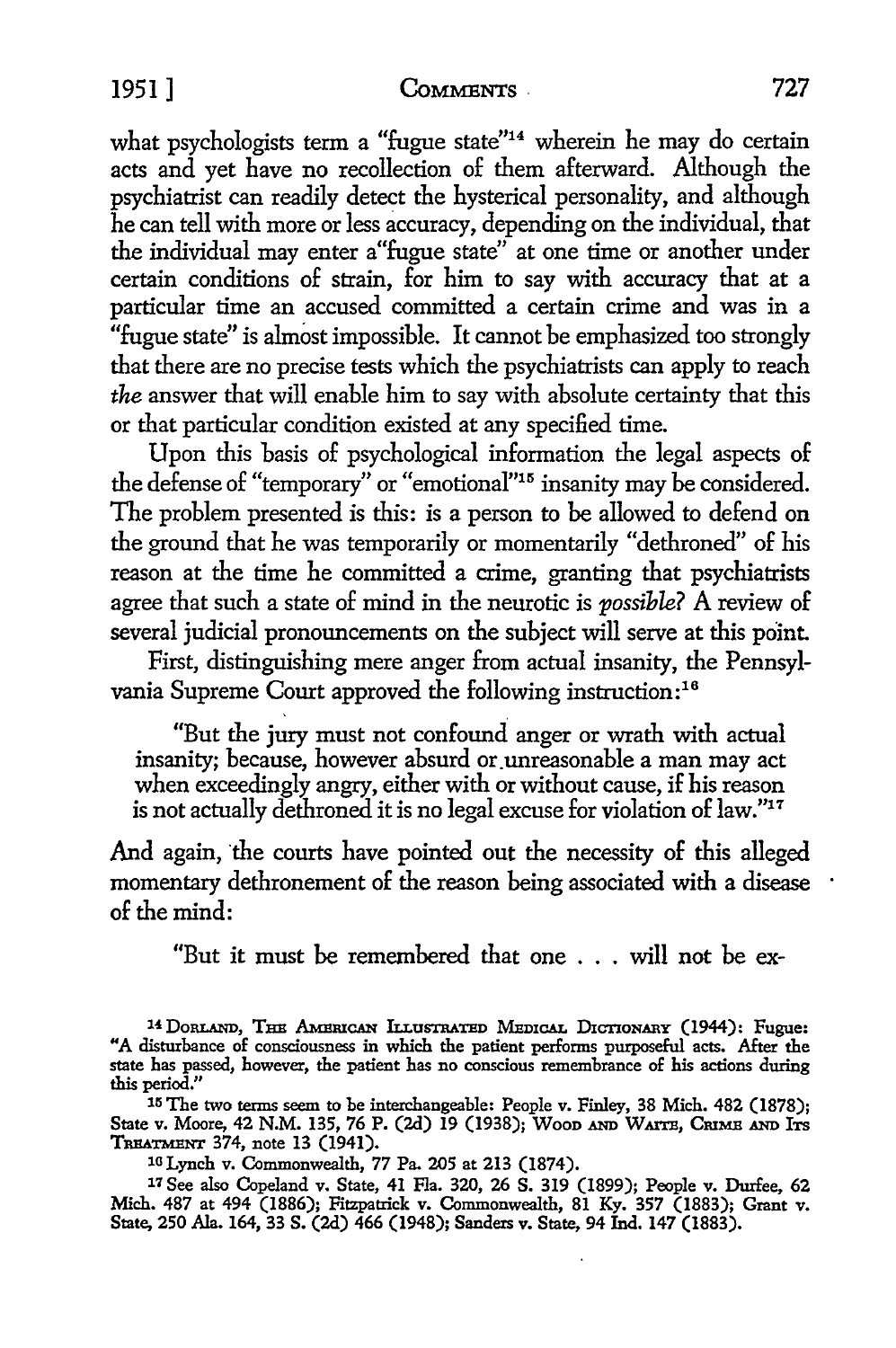#### 1951] **CoMMENTS,** 727

what psychologists term a "fugue state"<sup>14</sup> wherein he may do certain acts and yet have no recollection of them afterward. Although the psychiatrist can readily detect the hysterical personality, and although he can tell with more or less accuracy, depending on the individual, that the individual may enter a"fugue state" at one time or another under certain conditions of strain, for him to say with accuracy that at a particular time an accused committed a certain crime and was in a "fugue state" is almost impossible. It cannot be emphasized too strongly that there are no precise tests which the psychiatrists can apply to reach *the* answer that will enable him to say with absolute certainty that this or that particular condition existed at any specified time.

Upon this basis of psychological information the legal aspects of the defense of "temporary" or "emotional"15 insanity may be considered. The problem presented is this: is a person to be allowed to defend on the ground that he was temporarily or momentarily "dethroned" of his reason at the time he committed a crime, granting that psychiatrists agree that such a state of mind in the neurotic is *possible?* A review of several judicial pronouncements on the subject will serve at this point.

First, distinguishing mere anger from actual insanity, the Pennsylvania Supreme Court approved the following instruction:<sup>16</sup>

"But the jury must not confound anger or wrath with actual insanity; because, however absurd or. unreasonable a man may act when exceedingly angry, either with or without cause, if his reason is not actually dethroned it is no legal excuse for violation of law."17

And again, the courts have pointed out the necessity of this alleged momentary dethronement of the reason being associated with a disease  $\cdot$ of the mind:

"But it must be remembered that one . . . will not be ex-

15 The two terms seem to be interchangeable: People v. Finley, 38 Mich. 482 (1878); State v. Moore, 42 N.M. 135, 76 P. (2d) 19 (1938); Wood AND WAITE, CRIME AND ITS TREATMENT 374, note 13 (1941).

10 Lynch v. Commonwealth, 77 Pa. 205 at 213 (1874).

17 See also Copeland v. State, 41 Fla. 320, 26 S. 319 (1899); People v. Durfee, 62 Mich. 487 at 494 (1886); Fitzpatrick v. Commonwealth, 81 Ky. 357 (1883); Grant v. State, 250 Ala. 164, 33 S. (2d) 466 (1948); Sanders v. State, 94 Ind. 147 (1883).

<sup>&</sup>lt;sup>14</sup> DORLAND, THE AMERICAN ILLUSTRATED MEDICAL DICTIONARY (1944): Fugue: "A disturbance of consciousness in which the patient performs purposeful acts. After the state has passed, however, the patient has no conscious remembrance of his actions during this period."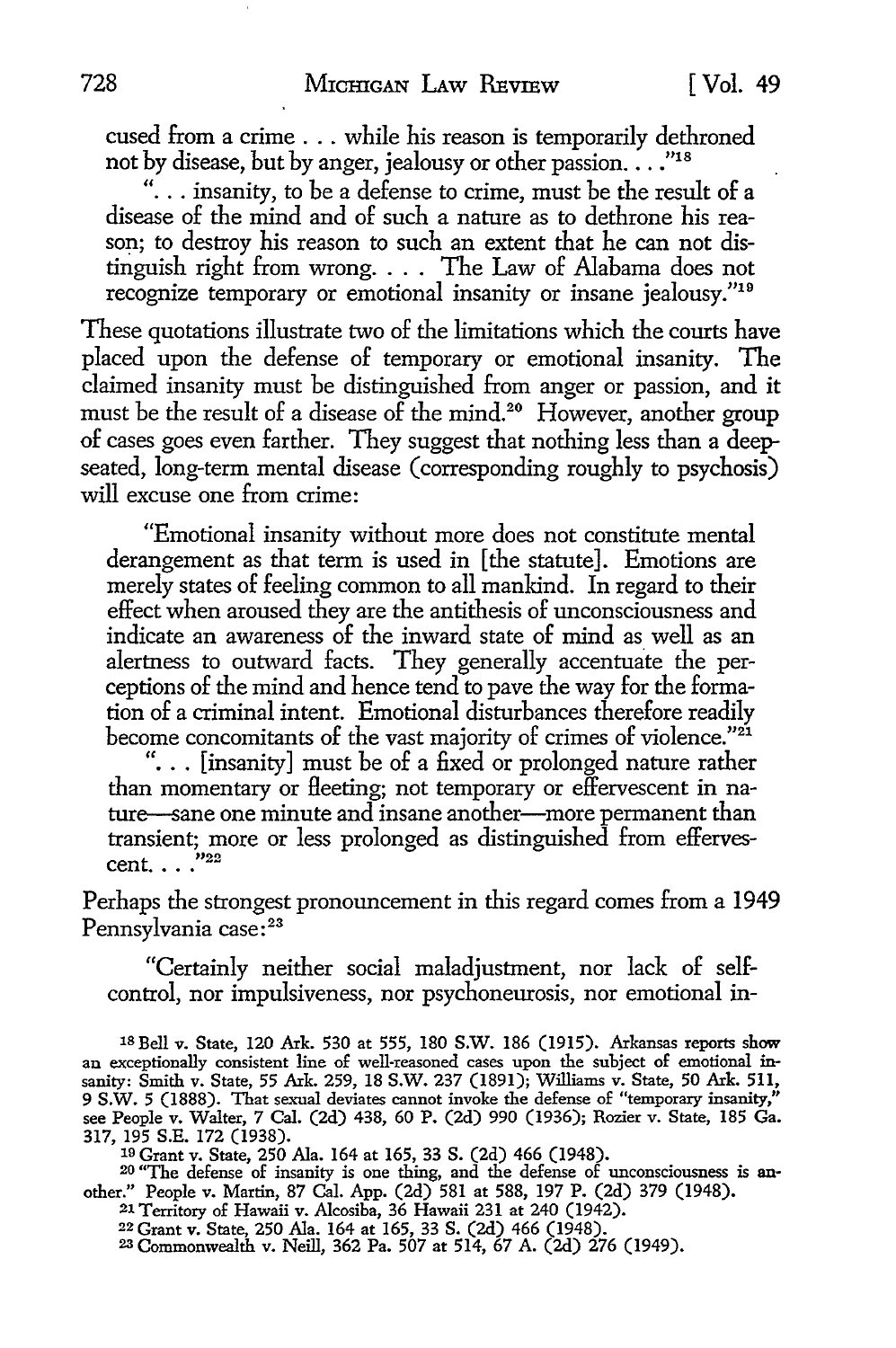cused from a crime ... while his reason is temporarily dethroned not by disease, but by anger, jealousy or other passion. . . . "18

"... insanity, to be a defense to crime, must be the result of a disease of the mind and of such a nature as to dethrone his reason; to destroy his reason to such an extent that he can not distinguish right from wrong. . . . The Law of Alabama does not recognize temporary or emotional insanity or insane jealousy."19

These quotations illustrate two of the limitations which the courts have placed upon the defense of temporary or emotional insanity. The claimed insanity must be distinguished from anger or passion, and it must be the result of a disease of the mind.<sup>20</sup> However, another group of cases goes even farther. They suggest that nothing less than a deepseated, long-term mental disease (corresponding roughly to psychosis) will excuse one from crime:

"Emotional insanity without more does not constitute mental derangement as that term is used in [the statute]. Emotions are merely states of feeling common to all mankind. In regard to their effect when aroused they are the antithesis of unconsciousness and indicate an awareness of the inward state of mind as well as an alertness to outward facts. They generally accentuate the perceptions of the mind and hence tend to pave the way for the formation of a criminal intent. Emotional disturbances therefore readily become concomitants of the vast majority of crimes of violence."<sup>21</sup>

"... [insanity] must be of a fixed or prolonged nature rather than momentary or fleeting; not temporary or effervescent in nature-sane one minute and insane another-more permanent than transient; more or less prolonged as distinguished from effervescent. . . . "22

Perhaps the strongest pronouncement in this regard comes from a 1949 Pennsylvania case:<sup>23</sup>

"Certainly neither social maladjustment, nor lack of selfcontrol, nor impulsiveness, nor psychoneurosis, nor emotional in-

1s Bell v. State, 120 Ark. 530 at 555, 180 S.W. 186 (1915). Arkansas reports show an exceptionally consistent line of well-reasoned cases upon the subject of emotional insanity: Smith v. State, 55 Ark. 259, 18 S.W. 237 (1891); Williams v. State, 50 Ark. 511, 9 S.W. 5 (1888). That sexual deviates cannot invoke the defense of "temporary insanity," see People v. Walter, 7 Cal. (2d) 438, 60 P. (2d) 990 (1936); Rozier v. State, 185 Ga. 317, 195 S.E. 172 (1938).

19 Grant v. State, 250 Ala. 164 at 165, 33 S. (2d) 466 (1948). 20 "The defense of insanity is one thing, and the defense of unconsciousness is another." People v. Martin, 87 Cal. App. (2d) 581 at 588, 197 P. (2d) 379 (1948).

21 Territory of Hawaii v. Alcosiba, 36 Hawaii 231 at 240 (1942).

22 Grant v. State, 250 Ala. 164 at 165, 33 S. (2d) 466 (1948). 23 Commonwealth v. Neill, 362 Pa. 507 at 514, 67 A. (2d) 276 (1949).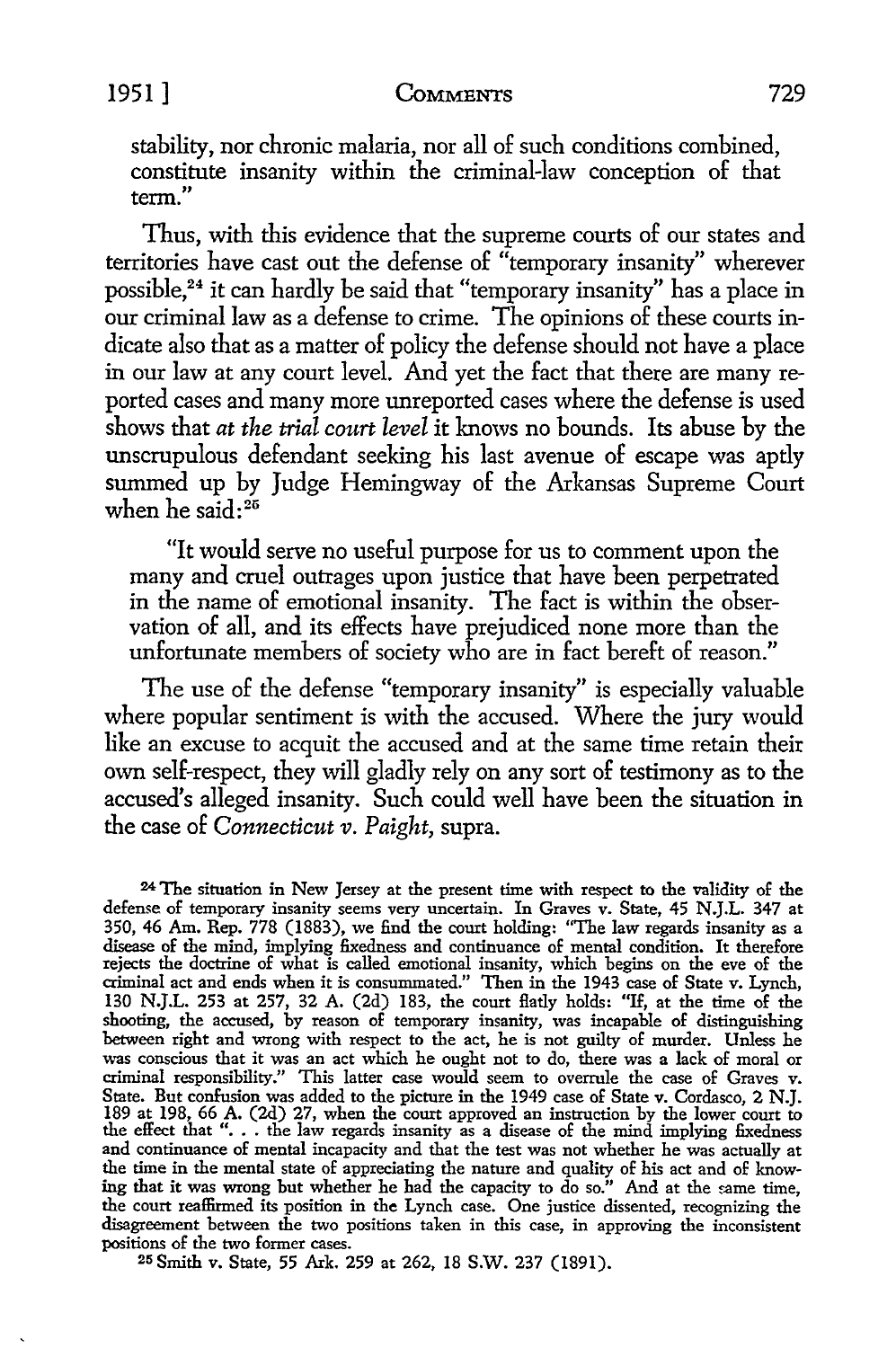### 1951] **CoMMENTS** 729

stability, nor chronic malaria, nor all of such conditions combined, constitute insanity within the criminal-law conception of that term."

Thus, with this evidence that the supreme courts of our states and territories have cast out the defense of "temporary insanity" wherever possible,24 it can hardly be said that "temporary insanity" has a place in our criminal law as a defense to crime. The opinions of these courts indicate also that as a matter of policy the defense should not have a place in our law at any court level. And yet the fact that there are many reported cases and many more unreported cases where the defense is used shows that *at the trial court level* it knows no bounds. Its abuse by the unscrupulous defendant seeking his last avenue of escape was aptly summed up by Judge Hemingway of the Arkansas Supreme Court when he said: $^{25}$ 

"It would serve no useful purpose for us to comment upon the many and cruel outrages upon justice that have been perpetrated in the name of emotional insanity. The fact is within the observation of all, and its effects have prejudiced none more than the unfortunate members of society who are in fact bereft of reason."

The use of the defense "temporary insanity" is especially valuable where popular sentiment is with the accused. Where the jury would like an excuse to acquit the accused and at the same time retain their own self-respect, they will gladly rely on any sort of testimony as to the accused's alleged insanity. Such could well have been the situation in the case of *Connecticut v. Paight,* supra.

<sup>24</sup>The situation in New Jersey at the present time with respect to the validity of the defense of temporary insanity seems very uncertain. In Graves v. State, 45 N.J.L. 347 at 350, 46 Am. Rep. 778 (1883), we find the court holding: "The law regards insanity as a disease of the mind, implying fixedness and continuance of mental condition. It therefore rejects the doctrine of what is called emotional insanity, which begins on the eve of the criminal act and ends when it is consummated." Then in the 1943 case of State v. Lynch, 130 N.J.L. 253 at 257, 32 A. (2d) 183, the court flatly holds: "If, at the time of the shooting, the accused, by reason of temporary insanity, was incapable of distinguishing between right and wrong with respect to the act, he is not guilty of murder. Unless he was conscious that it was an act which he ought not to do, there was a lack of moral or criminal responsibility." This latter case would seem to overrule the case of Graves v. State. But confusion was added to the picture in the 1949 case of State v. Cordasco, 2 N.J. 189 at 198, 66 A. (2d) 27, when the court approved an instruction by the lower court to the effect that ". . . the law regards ins and continuance of mental incapacity and that the test was not whether he was actually at the time in the mental state of appreciating the nature and quality of his act and of knowing that it was wrong but whether he had the capacity to do so." And at the same time, the court reaffirmed its position in the Lynch case. One justice dissented, recognizing the disagreement between the two positions taken in this case, in approving the inconsistent positions of the two former cases.

25 Smith v. State, 55 Ark. 259 at 262, 18 S.W. 237 (1891).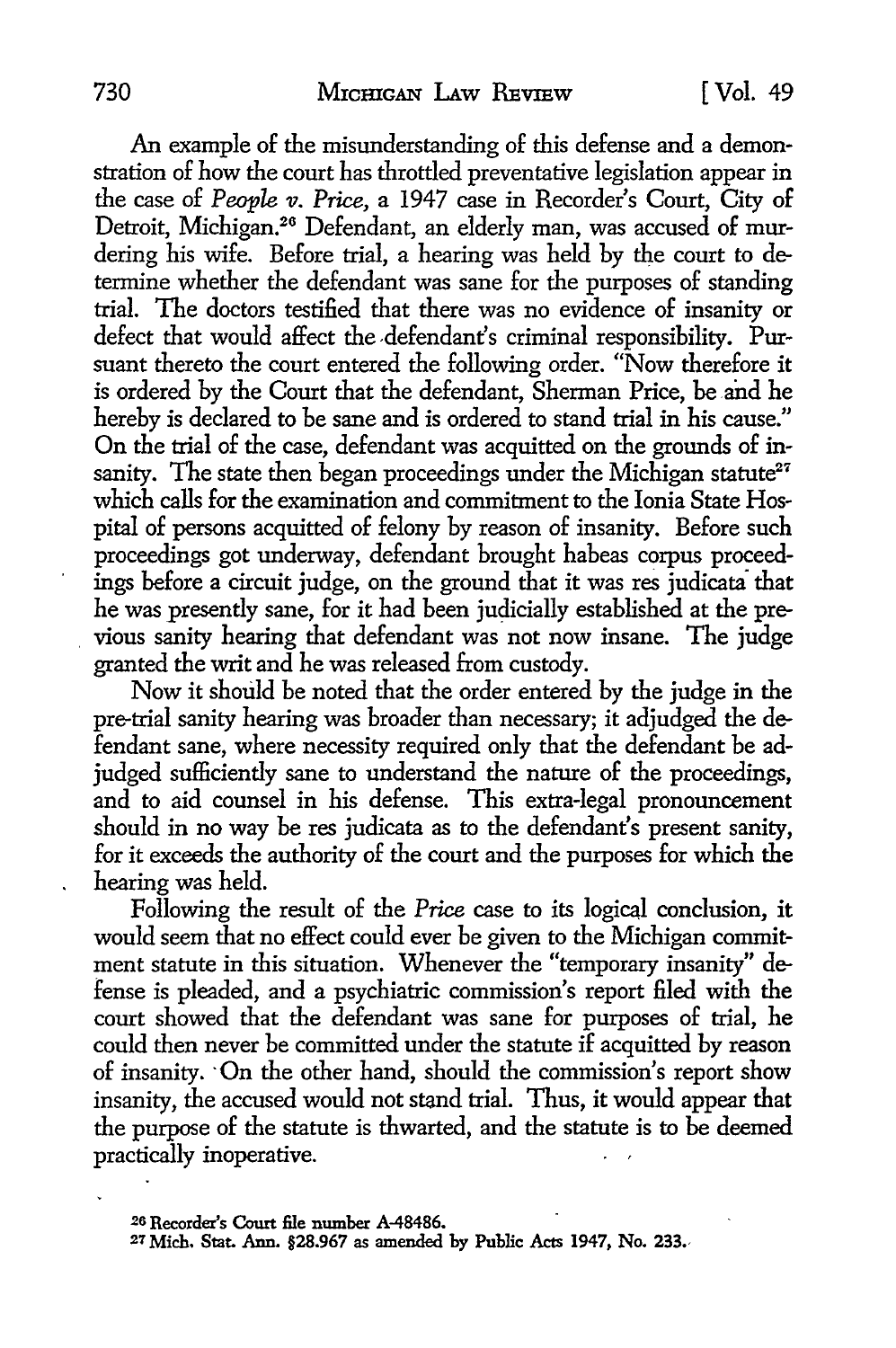An example of the misunderstanding of this defense and a demonstration of how the court has throttled preventative legislation appear in the case of *People v. Price,* a 1947 case in Recorder's Court, City of Detroit, Michigan.26 Defendant, an elderly man, was accused of murdering his wife. Before trial, a hearing was held by the court to determine whether the defendant was sane for the purposes of standing trial. The doctors testified that there was no evidence of insanity or defect that would affect the -defendant's criminal responsibility. Pursuant thereto the court entered the following order. "Now therefore it is ordered by the Court that the defendant, Sherman Price, be and he hereby is declared to be sane and is ordered to stand trial in his cause." On the trial of the case, defendant was acquitted on the grounds of insanity. The state then began proceedings under the Michigan statute<sup>27</sup> which calls for the examination and commitment to the Ionia State Hospital of persons acquitted of felony by reason of insanity. Before such proceedings got underway, defendant brought habeas corpus proceedings before a circuit judge, on the ground that it was res judicata· that he was presently sane, for it had been judicially established at the previous sanity hearing that defendant was not now insane. The judge granted the writ and he was released from custody.

Now it should be noted that the order entered by the judge in the pre-trial sanity hearing was broader than necessary; it adjudged the defendant sane, where necessity required only that the defendant be adjudged sufficiently sane to understand the nature of the proceedings, and to aid counsel in his defense. This extra-legal pronouncement should in no way be res judicata as to the defendant's present sanity, for it exceeds the authority of the court and the purposes for which the hearing was held.

Following the result of the *Price* case to its logical conclusion, it would seem that no effect could ever be given to the Michigan commitment statute in this situation. Whenever the "temporary insanity" defense is pleaded, and a psychiatric commission's report filed with the court showed that the defendant was sane for purposes of trial, he could then never be committed under the statute if acquitted by reason of insanity. ·On the other hand, should the commission's report show insanity, the accused would not stand trial. Thus, it would appear that the purpose of the statute is thwarted, and the statute is to be deemed practically inoperative.

<sup>26</sup> Recorder's Court file number A-48486.

<sup>27</sup> Mich. Stat. Ann. §28.967 as amended by Public Acts 1947, No. 233.,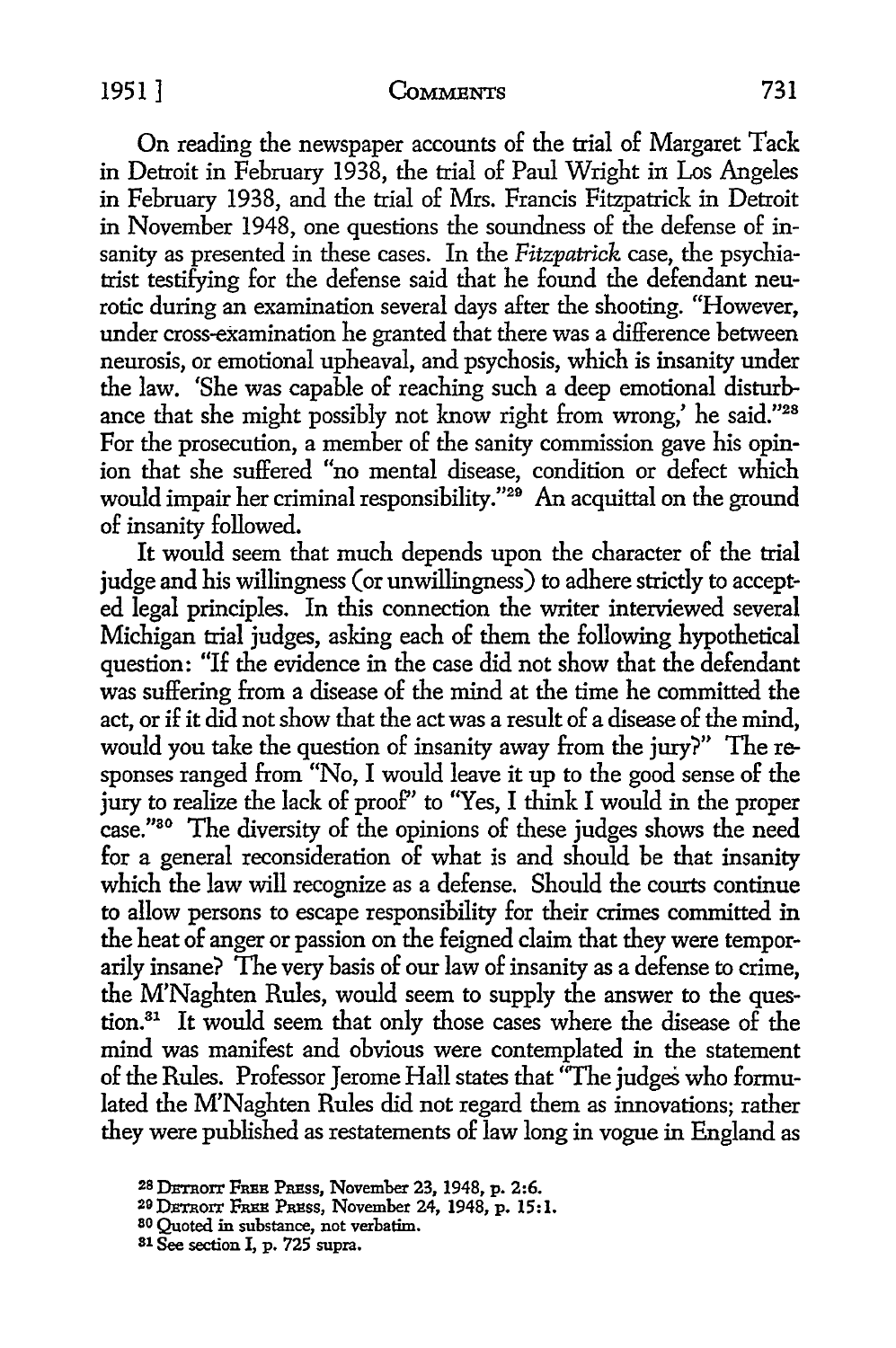# 1951] **CoMMBNTS** 731

On reading the newspaper accounts of the trial of Margaret Tack in Detroit in February 1938, the trial of Paul Wright in Los Angeles in February 1938, and the trial of Mrs. Francis Fitzpatrick in Detroit in November 1948, one questions the soundness of the defense of insanity as presented in these cases. In the *Fitzpatrick* case, the psychiatrist testifying for the defense said that he found the defendant neurotic during an examination several days after the shooting. "However, under cross-examination he granted that there was a difference between neurosis, or emotional upheaval, and psychosis, which is insanity under the law. 'She was capable of reaching such a deep emotional disturbance that she might possibly not know right from wrong,' he said."<sup>28</sup> For the prosecution, a member of the sanity commission gave his opinion that she suffered "no mental disease, condition or defect which would impair her criminal responsibility."<sup>29</sup> An acquittal on the ground of insanity followed.

It would seem that much depends upon the character of the trial judge and his willingness (or unwillingness) to adhere strictly to accepted legal principles. In this connection the writer interviewed several Michigan trial judges, asking each of them the following hypothetical question: "If the evidence in the case did not show that the defendant was suffering from a disease of the mind at the time he committed the act, or if it did not show that the act was a result of a disease of the mind, would you take the question of insanity away from the jury?" The responses ranged from "No, I would leave it up to the good sense of the jury to realize the lack of proof'' to ''Yes, I think I would in the proper case."30 The diversity of the opinions of these judges shows the need for a general reconsideration of what is and should be that insanity which the law will recognize as a defense. Should the courts continue to allow persons to escape responsibility for their crimes committed in the heat of anger or passion on the feigned claim that they were temporarily insane? The very basis of our law of insanity as a defense to crime, the M'Naghten Rules, would seem to supply the answer to the question.<sup>31</sup> It would seem that only those cases where the disease of the mind was manifest and obvious were contemplated in the statement of the Rules. Professor Jerome Hall states that "The judges who formulated the M'Naghten Rules did not regard them as innovations; rather they were published as restatements of law long in vogue in England as

<sup>&</sup>lt;sup>28</sup> DETROIT FREE PRESS, November 23, 1948, p. 2:6.

<sup>&</sup>lt;sup>29</sup> DETROIT FREE PRESS, November 24, 1948, p. 15:1.<br><sup>80</sup> Quoted in substance, not verbatim.

s1 See section I, p. 725 supra.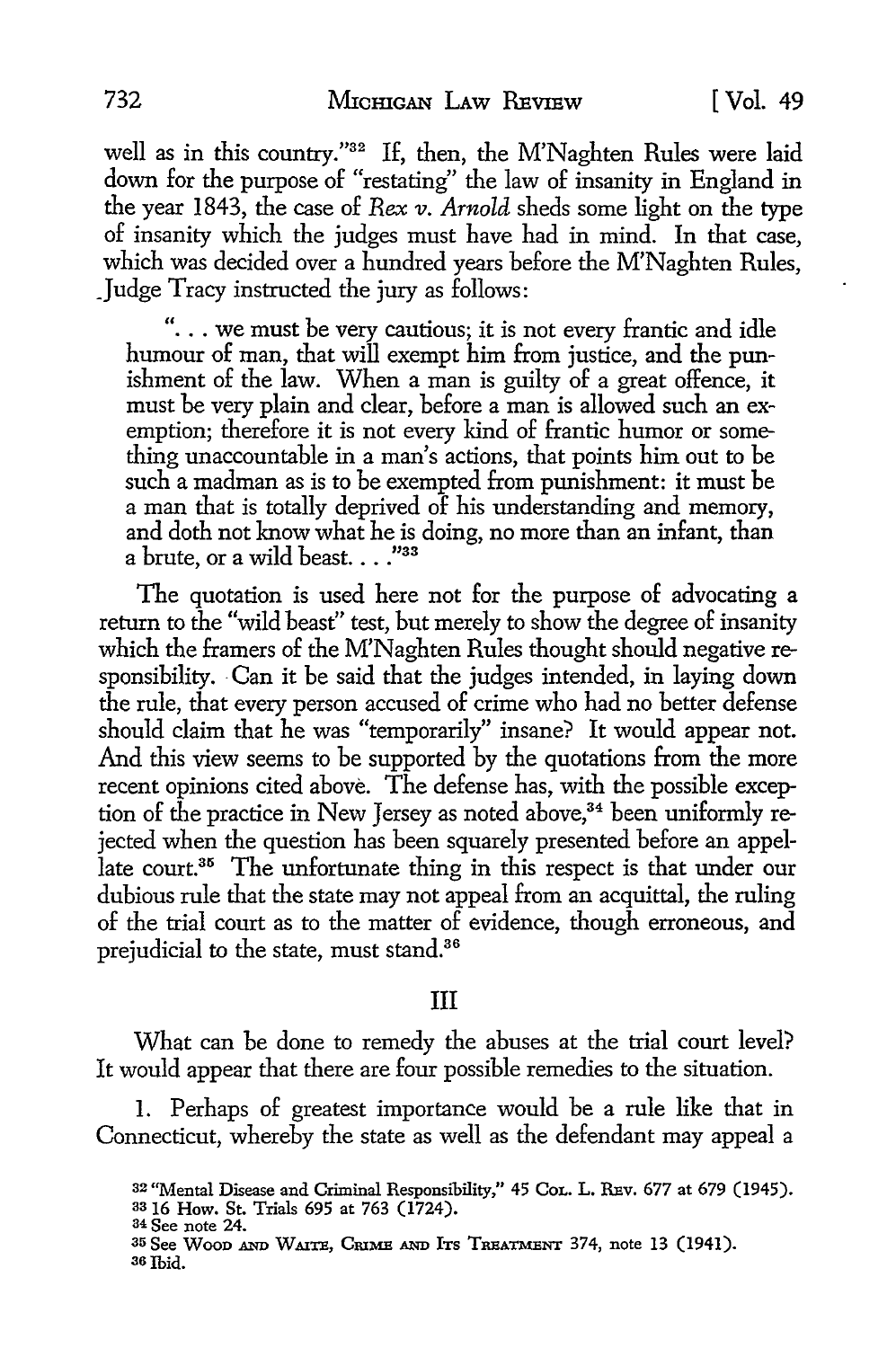well as in this country."<sup>32</sup> If, then, the M'Naghten Rules were laid down for the purpose of "restating" the law of insanity in England in the year 1843, the case of *Rex v. Arnold* sheds some light on the type of insanity which the judges must have had in mind. In that case, which was decided over a hundred years before the M'Naghten Rules, Judge Tracy instructed the jury as follows:

"... we must be very cautious; it is not every frantic and idle humour of man, that will exempt him from justice, and the punishment of the law. When a man is guilty of a great offence, it must be very plain and dear, before a man is allowed such an exemption; therefore it is not every kind of frantic humor or something unaccountable in a man's actions, that points him out to be such a madman as is to be exempted from punishment: it must be a man that is totally deprived of his understanding and memory, and doth not know what he is doing, no more than an infant, than a brute, or a wild beast...." $^{33}$ 

The quotation is used here not for the purpose of advocating a return to the "wild beast'' test, but merely to show the degree of insanity which the framers of the M'Naghten Rules thought should negative responsibility. Can it be said that the judges intended, in laying down the rule, that every person accused of crime who had no better defense should claim that he was "temporarily" insane? It would appear not. And this view seems to be supported by the quotations from the more recent opinions cited above. The defense has, with the possible exception of the practice in New Jersey as noted above,  $34$  been uniformly rejected when the question has been squarely presented before an appellate court.<sup>35</sup> The unfortunate thing in this respect is that under our dubious rule that the state may not appeal from an acquittal, the ruling of the trial court as to the matter of evidence, though erroneous, **and**  prejudicial to the state, must stand.<sup>36</sup>

#### III

What can be done to remedy the abuses at the trial court level? It would appear that there are four possible remedies to the situation.

I. Perhaps of greatest importance would be a rule like that in Connecticut, whereby the state as well as the defendant may appeal a

33 16 How. St. Trials 695 at 763 (1724). <sup>34</sup>See note 24.

<sup>32 &</sup>quot;Mental Disease and Criminal Responsibility,'' 45 CoL. L. REv. 677 at 679 (1945).

<sup>35</sup> See Wood AND WAITE, CRIME AND ITS TREATMENT 374, note 13 (1941). 36Ibid.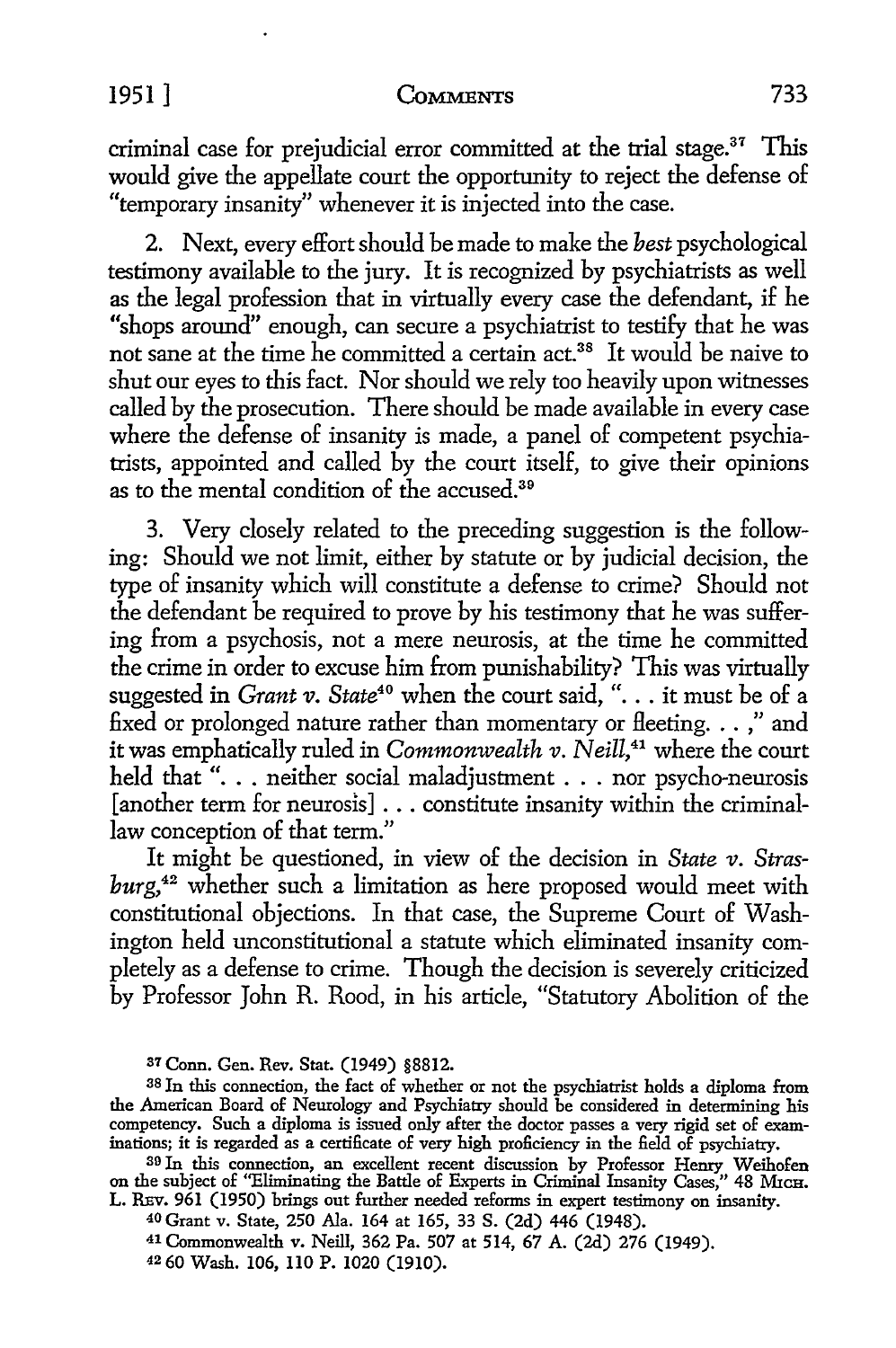#### 1951] **CoMMENTS** 733

criminal case for prejudicial error committed at the trial stage.<sup>37</sup> This would give the appellate court the opportunity to reject the defense of "temporary insanity" whenever it is injected into the case.

2. Next, every effort should be made to make the *best* psychological testimony available to the jury. It is recognized by psychiatrists as well as the legal profession that in virtually every case the defendant, if he "shops around" enough, can secure a psychiatrist to testify that he was not sane at the time he committed a certain act.<sup>38</sup> It would be naive to shut our eyes to this fact. Nor should we rely too heavily upon witnesses called by the prosecution. There should be made available in every case where the defense of insanity is made, a panel of competent psychiatrists, appointed and called by the court itself, to give their opinions as to the mental condition of the accused.<sup>39</sup>

3. Very closely related to the preceding suggestion is the following: Should we not limit, either by statute or by judicial decision, the type of insanity which will constitute a defense to crime? Should not the defendant be required to prove by his testimony that he was suffering from a psychosis, not a mere neurosis, at the time he committed the crime in order to excuse him from punishability? This was virtually suggested in *Grant v*. *State*<sup>40</sup> when the court said, "... it must be of a fixed or prolonged nature rather than momentary or fleeting. . . ," and it was emphatically ruled in *Commonwealth v. Neill*,<sup>41</sup> where the court held that "... neither social maladjustment ... nor psycho-neurosis [another term for neurosis] ... constitute insanity within the criminallaw conception of that term."

It might be questioned, in view of the decision in *State v*. *Strasburg,42* whether such a limitation as here proposed would meet with constitutional objections. In that case, the Supreme Court of Washington held unconstitutional a statute which eliminated insanity completely as a defense to crime. Though the decision is severely criticized by Professor John R. Rood, in his article, "Statutory Abolition of the

<sup>37</sup>Conn. Gen. Rev. Stat. (1949) §8812.

<sup>40</sup>Grant v. State, 250 Ala. 164 at 165, 33 S. (2d) 446 (1948).

41 Commonwealth v. Neill, 362 Pa. 507 at 514, 67 A. (2d) 276 (1949).

42 60 Wash. 106, ll0 P. 1020 (1910).

<sup>38</sup>In this connection, the fact of whether or not the psychiatrist holds a diploma from the American Board of Neurology and Psychiatry should be considered in determining his competency. Such a diploma is issued only after the doctor passes a very rigid set of examinations; it is regarded as a certificate of very high proficiency in the field of psychiatry.

<sup>&</sup>lt;sup>39</sup> In this connection, an excellent recent discussion by Professor Henry Weihofen on the subject of "Eliminating the Battle of Experts in Criminal Insanity Cases," 48 MICH. L. REV. 961 (1950) brings out further needed reforms in expert testimony on insanity.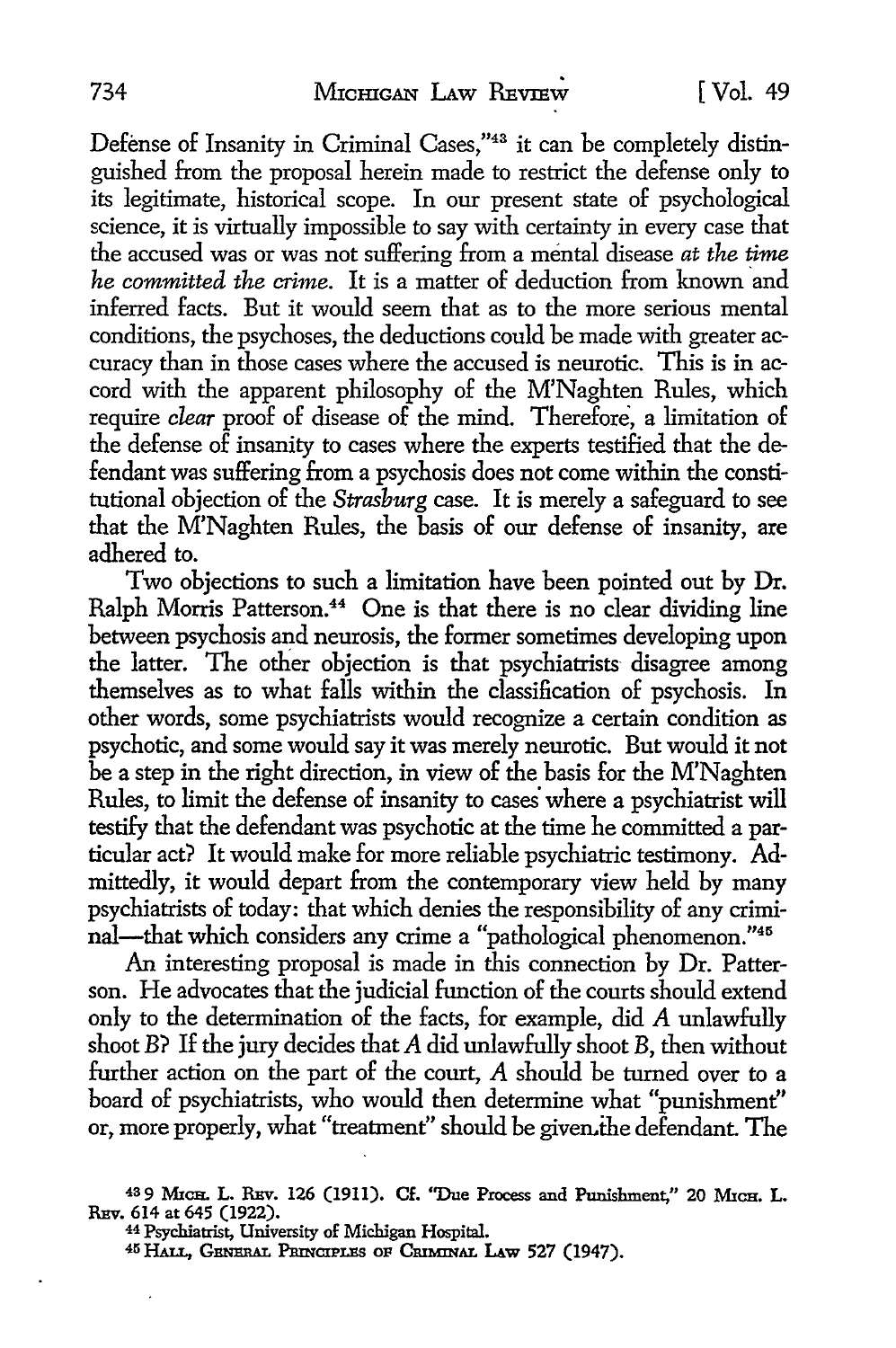Defense of Insanity in Criminal Cases,"43 it can be completely distinguished from the proposal herein made to restrict the defense only to its legitimate, historical scope. In our present state of psychological science, it is virtually impossible to say with certainty in every case that the accused was or was not suffering from a mental disease *at the time he committed the crime.* It is a matter of deduction from known and inferred facts. But it would seem that as to the more serious mental conditions, the psychoses, the deductions could be made with greater accuracy than in those cases where the accused is neurotic. This is in accord with the apparent philosophy of the M'Naghten Rules, which require *clear* proof of disease of the mind. Therefore, a limitation of the defense of insanity to cases where the experts testified that the defendant was suffering from a psychosis does not come within the constitutional objection of the *Strasburg* case. It is merely a safeguard to see that the M'Naghten Rules, the basis of our defense of insanity, are adhered to.

Two objections to such a limitation have been pointed out by Dr. Ralph Morris Patterson.<sup>44</sup> One is that there is no clear dividing line between psychosis and neurosis, the former sometimes developing upon the latter. The other objection is that psychiatrists disagree among themselves as to what falls within the classification of psychosis. In other words, some psychiatrists would recognize a certain condition as psychotic, and some would say it was merely neurotic. But would it not be a step in the right direction, in view of the basis for the M'Naghten Rules, to limit the defense of insanity to cases· where a psychiatrist will testify that the defendant was psychotic at the time he committed a particular act? It would make for more reliable psychiatric testimony. Admittedly, it would depart from the contemporary view held by many psychiatrists of today: that which denies the responsibility of any criminal-that which considers any crime a "pathological phenomenon."<sup>45</sup>

An interesting proposal is made in this connection by Dr. Patterson. He advocates that the judicial function of the courts should extend only to the determination of the facts, for example, did A unlawfully shoot B? If the jury decides that A did unlawfully shoot B, then without further action on the part of the court, A should be turned over to a board of psychiatrists, who would then determine what "punishment'' or, more properly, what "treatment" should be given.the defendant. The

<sup>43</sup>9 MICH. L. REv. 126 (1911). Cf. ''Due Process and Punishment," 20 MICH. L. REv. 614 at 645 (1922).

<sup>44</sup>Psychiatrist, University of Michigan Hospital.

<sup>45</sup> HALL, GENERAL PRINCIPLES OF CRIMINAL LAW 527 (1947).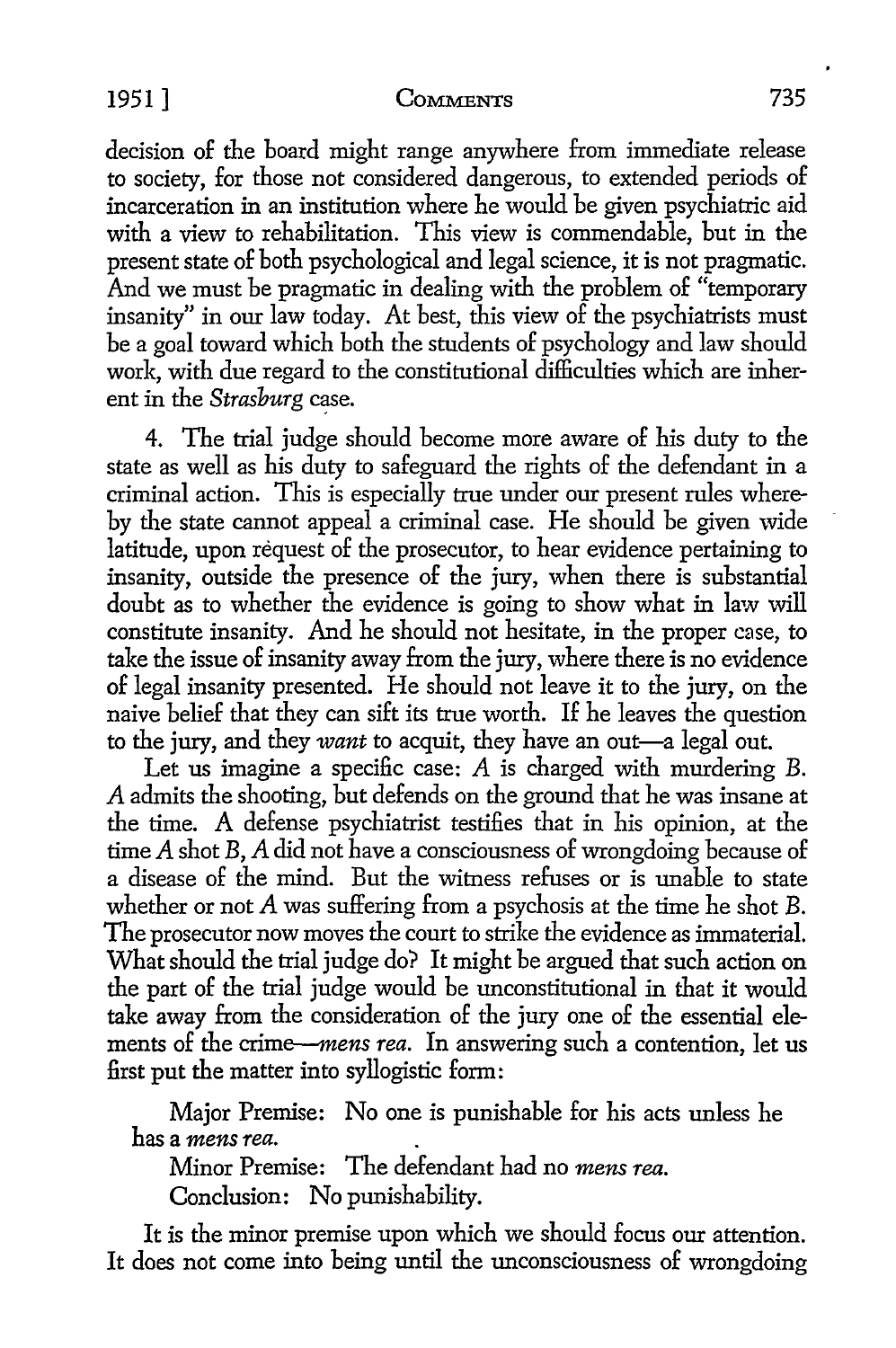### 1951] COMMENTS 735

decision of the board might range anywhere from immediate release to society, for those not considered dangerous, to extended periods of incarceration in an institution where he would be given psychiatric aid with a view to rehabilitation. This view is commendable, but in the present state of both psychological and legal science, it is not pragmatic. And we must be pragmatic in dealing with the problem of "temporary" insanity" in our law today. At best, this view of the psychiatrists must be a goal toward which both the students of psychology and law should work, with due regard to the constitutional difficulties which are inherent in the *Strasburg* case.

4. The trial judge should become more aware of his duty to the state as well as his duty to safeguard the rights of the defendant in a criminal action. This is especially true under our present rules whereby the state cannot appeal a criminal case. He should be given wide latitude, upon request of the prosecutor, to hear evidence pertaining to insanity, outside the presence of the jury, when there is substantial doubt as to whether the evidence is going to show what in law will constitute insanity. And he should not hesitate, in the proper case, to take the issue of insanity away from the jury, where there is no evidence of legal insanity presented. He should not leave it to the jury, on the naive belief that they can sift its true worth. If he leaves the question to the jury, and they *want* to acquit, they have an out-a legal out.

Let us imagine a specific case:  $A$  is charged with murdering  $B$ . A admits the shooting, but defends on the ground that he was insane at the time. A defense psychiatrist testifies that in his opinion, at the time *A* shot B, *A* did not have a consciousness of wrongdoing because of a disease of the mind. But the witness refuses or is unable to state whether or not A was suffering from a psychosis at the time he shot B. The prosecutor now moves the court to strike the evidence as immaterial. What should the trial judge do? It might be argued that such action on the part of the trial judge would be unconstitutional in that it would take away from the consideration of the jury one of the essential elements of the *crime-mens rea.* In answering such a contention, let us first put the matter into syllogistic form:

Major Premise: No one is punishable for his acts unless he has a *mens rea.* 

Minor Premise: The defendant had no *mens rea.*  Conclusion: No punishability.

It is the minor premise upon which we should focus our attention. It does not come into being until the unconsciousness of wrongdoing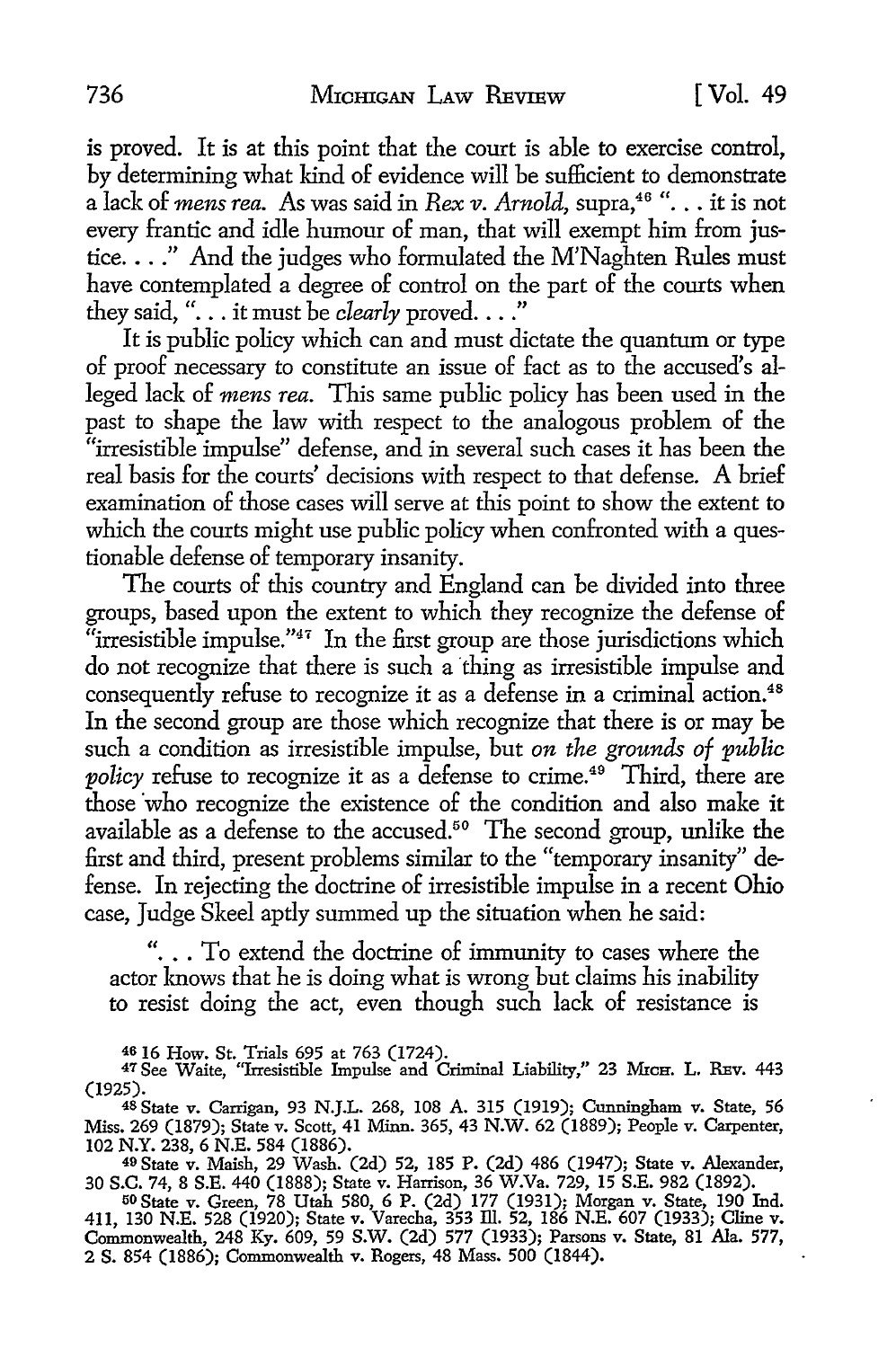is proved. It is at this point that the court is able to exercise control, by determining what kind of evidence will be sufficient to demonstrate a lack of *mens rea.* As was said in *Rex v. Arnold*, supra,<sup>46</sup> "... it is not every frantic and idle humour of man, that will exempt him from justice .... " And the judges who formulated the M'Naghten Rules must have contemplated a degree of control on the part of the courts when they said, "... it must be *clearly* proved...."

It is public policy which can and must dictate the quantum or type of proof necessary to constitute an issue of fact as to the accused's alleged lack of *mens rea.* This same public policy has been used in the past to shape the law with respect to the analogous problem of the "irresistible impulse" defense, and in several such cases it has been the real basis for the courts' decisions with respect to that defense. A brief examination of those cases will serve at this point to show the extent to which the courts might use public policy when confronted with a questionable defense of temporary insanity.

The courts of this country and England can be divided into three groups, based upon the extent to which they recognize the defense of "irresistible impulse." $47$  In the first group are those jurisdictions which do not recognize that there is such a thing as irresistible impulse and consequently refuse to recognize it as a defense in a criminal action.<sup>48</sup> In the second group are those which recognize that there is or may be such a condition as irresistible impulse, but *on the grounds of public policy* refuse to recognize it as a defense to crime.<sup>49</sup> Third, there are those who recognize the existence of the condition and also make it available as a defense to the accused.<sup>50</sup> The second group, unlike the first and third, present problems similar to the "temporary insanity" defense. In rejecting the doctrine of irresistible impulse in a recent Ohio case, Judge Skeel aptly summed up the situation when he said:

"... To extend the doctrine of immunity to cases where the actor knows that he is doing what is wrong but claims his inability to resist doing the act, even though such lack of resistance is

4616 How. St. Trials 695 at 763 (1724).

49 State v. Maish, 29 Wash. (2d) 52, 185 P. (2d) 486 (1947); State v. Alexander, 30 S.C. 74, 8 S.E. 440 (1888); State v. Harrison, 36 W.Va. 729, 15 S.E. 982 (1892).

50 State v. Green, 78 Utah 580, 6 P. (2d) 177 (1931); Morgan v. State, 190 Ind. 411, 130 N.E. 528 (1920); State v. Varecha, 353 ill. 52, 186 N.E. 607 (1933); Cline v. Commonwealth, 248 Ky. 609, 59 S.W. (2d) 577 (1933); Parsons v. State, 81 Ala. 577, 2 S. 854 (1886); Commonwealth v. Rogers, 48 Mass. 500 (1844).

<sup>&</sup>lt;sup>47</sup> See Waite, "Irresistible Impulse and Criminal Liability," 23 MrcH. L. REv. 443 (1925).

<sup>48</sup> State v. Carrigan, 93 N.J.L. 268, 108 A. 315 (1919); Cunningham v. State, 56 Miss. 269 (1879); State v. Scott, 41 Minn. 365, 43 N.W. 62 (1889); People v. Carpenter, 102 N.Y. 238, 6 N.E. 584 (1886).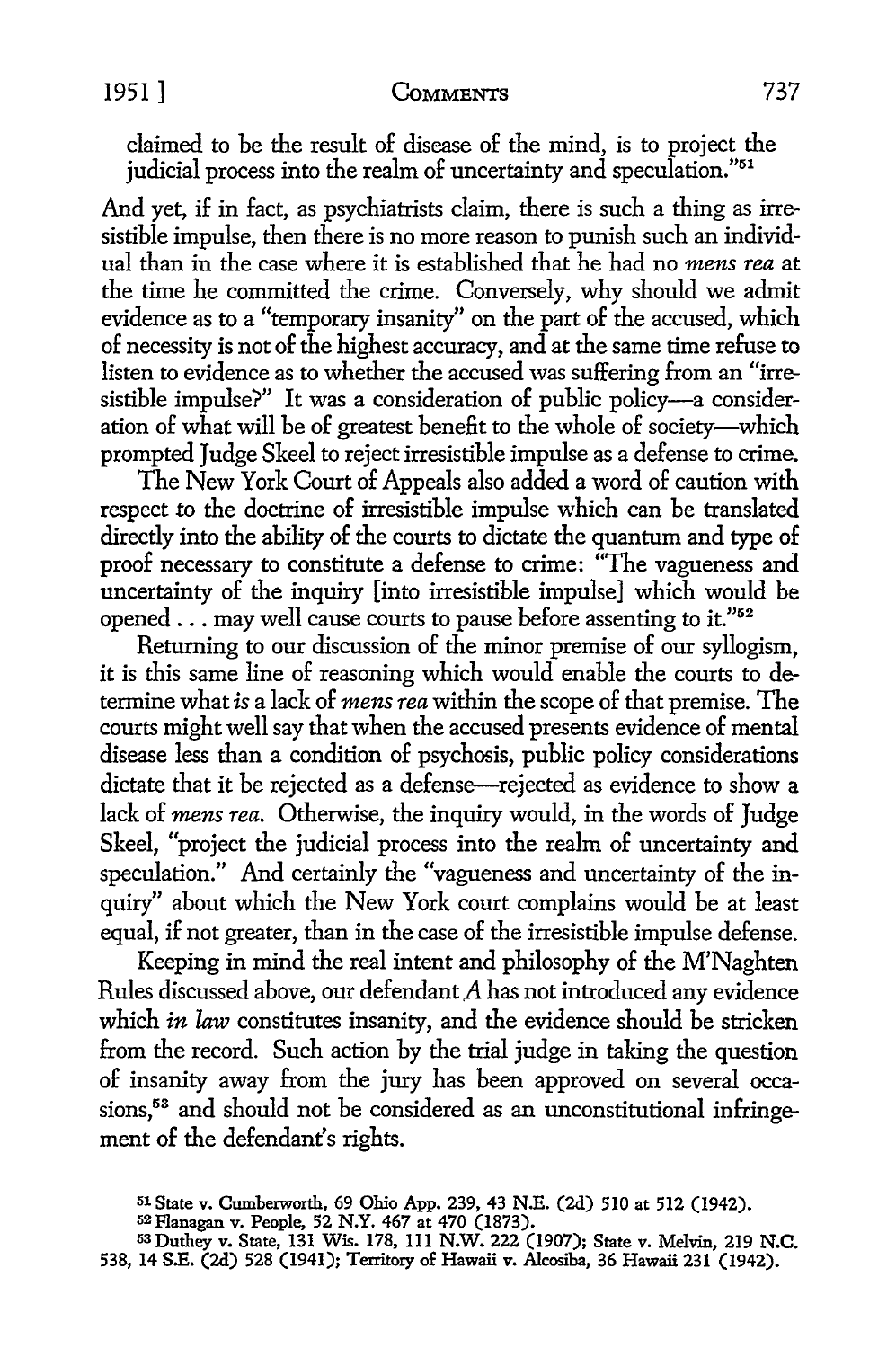# 1951 ] **CoMMENTS** 737

claimed to be the result of disease of the mind, is to project the judicial process into the realm of uncertainty and speculation."<sup>51</sup>

And yet, if in fact, as psychiatrists claim, there is such a thing as irresistible impulse, then there is no more reason to punish such an individual than in the case where it is established that he had no *mens rea* at the time he committed the crime. Conversely, why should we admit evidence as to a "temporary insanity" on the part of the accused, which of necessity is not of the highest accuracy, and at the same time refuse to listen to evidence as to whether the accused was suffering from an "irresistible impulse?" It was a consideration of public policy---- a consideration of what will be of greatest benefit to the whole of society-which prompted Judge Skeel to reject irresistible impulse as a defense to crime.

The New York Court of Appeals also added a word of caution with respect to the doctrine of irresistible impulse which can be translated directly into the ability of the courts to dictate the quantum and type of proof necessary to constitute a defense to crime: "The vagueness and uncertainty of the inquiry [into irresistible impulse] which would be opened ... may well cause courts to pause before assenting to it."52

Returning to our discussion of the minor premise of our syllogism, it is this same line of reasoning which would enable the courts to determine what *is* a lack of *mens rea* within the scope of that premise. The courts might well say that when the accused presents evidence of mental disease less than a condition of psychosis, public policy considerations dictate that it be rejected as a defense---rejected as evidence to show a lack of *mens rea.* Otherwise, the inquiry would, in the words of Judge Skeel, "project the judicial process into the realm of uncertainty and speculation." And certainly the "vagueness and uncertainty of the inquiry" about which the New York court complains would be at least equal, if not greater, than in the case of the irresistible impulse defense.

Keeping in mind the real intent and philosophy of the M'Naghten Rules discussed above, our defendant *A* has not introduced any evidence which *in law* constitutes insanity, and the evidence should be stricken from the record. Such action by the trial judge in taking the question of insanity away from the jury has been approved on several occasions,<sup>53</sup> and should not be considered as an unconstitutional infringement of the defendant's rights.

<sup>51</sup> State v. Cumberworth, 69 Ohio App. 239, 43 N.E. (2d) 510 at 512 (1942).

<sup>&</sup>lt;sup>52</sup> Flanagan v. People, 52 N.Y. 467 at 470 (1873).

<sup>53</sup>Duthey v. State, 131 Wis. 178, 111 N.W. 222 (1907); State v. Melvin, 219 N.C. 538, 14 S.E. (2d) 528 (1941); Territory of Hawaii v. Alcosiba, 36 Hawaii 231 (1942).